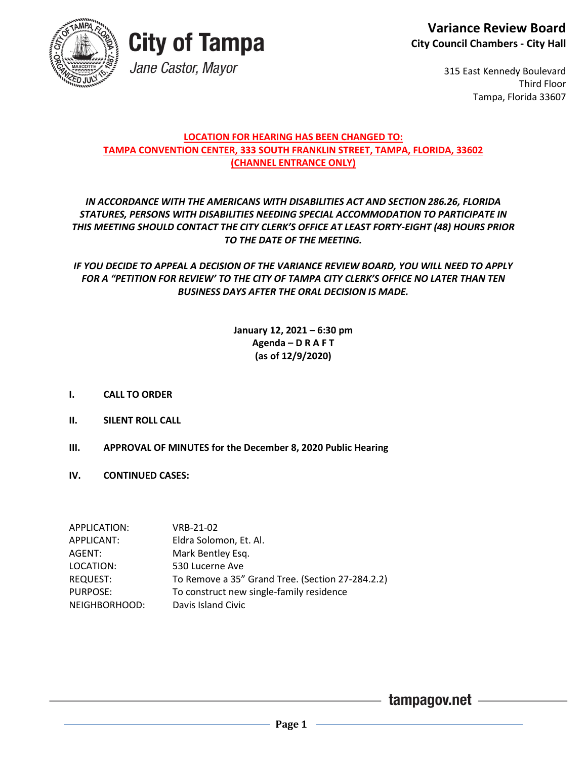

## **City of Tampa** Jane Castor, Mayor

315 East Kennedy Boulevard Third Floor Tampa, Florida 33607

#### **LOCATION FOR HEARING HAS BEEN CHANGED TO: TAMPA CONVENTION CENTER, 333 SOUTH FRANKLIN STREET, TAMPA, FLORIDA, 33602 (CHANNEL ENTRANCE ONLY)**

#### *IN ACCORDANCE WITH THE AMERICANS WITH DISABILITIES ACT AND SECTION 286.26, FLORIDA STATURES, PERSONS WITH DISABILITIES NEEDING SPECIAL ACCOMMODATION TO PARTICIPATE IN THIS MEETING SHOULD CONTACT THE CITY CLERK'S OFFICE AT LEAST FORTY-EIGHT (48) HOURS PRIOR TO THE DATE OF THE MEETING.*

*IF YOU DECIDE TO APPEAL A DECISION OF THE VARIANCE REVIEW BOARD, YOU WILL NEED TO APPLY FOR A "PETITION FOR REVIEW' TO THE CITY OF TAMPA CITY CLERK'S OFFICE NO LATER THAN TEN BUSINESS DAYS AFTER THE ORAL DECISION IS MADE.*

#### **January 12, 2021 – 6:30 pm Agenda – D R A F T (as of 12/9/2020)**

- **I. CALL TO ORDER**
- **II. SILENT ROLL CALL**
- **III. APPROVAL OF MINUTES for the December 8, 2020 Public Hearing**
- **IV. CONTINUED CASES:**

| APPLICATION:    | VRB-21-02                                        |
|-----------------|--------------------------------------------------|
| APPLICANT:      | Eldra Solomon, Et. Al.                           |
| AGENT:          | Mark Bentley Esq.                                |
| LOCATION:       | 530 Lucerne Ave                                  |
| <b>REQUEST:</b> | To Remove a 35" Grand Tree. (Section 27-284.2.2) |
| PURPOSE:        | To construct new single-family residence         |
| NEIGHBORHOOD:   | Davis Island Civic                               |

- tampagov.net —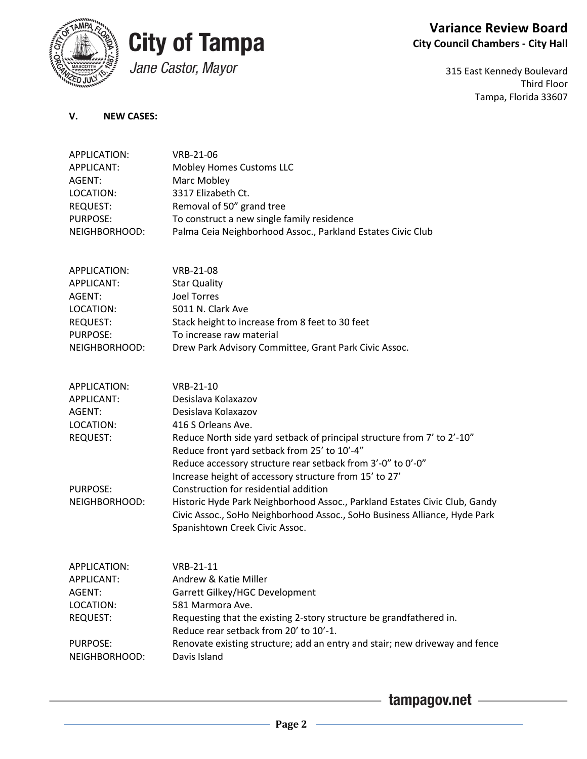

## **City of Tampa**

## Jane Castor, Mayor

#### **Variance Review Board City Council Chambers - City Hall**

315 East Kennedy Boulevard Third Floor Tampa, Florida 33607

#### **V. NEW CASES:**

| APPLICATION:      | VRB-21-06                                                                   |
|-------------------|-----------------------------------------------------------------------------|
| <b>APPLICANT:</b> | Mobley Homes Customs LLC                                                    |
| AGENT:            | Marc Mobley                                                                 |
| LOCATION:         | 3317 Elizabeth Ct.                                                          |
| <b>REQUEST:</b>   | Removal of 50" grand tree                                                   |
| <b>PURPOSE:</b>   | To construct a new single family residence                                  |
| NEIGHBORHOOD:     | Palma Ceia Neighborhood Assoc., Parkland Estates Civic Club                 |
|                   |                                                                             |
| APPLICATION:      | VRB-21-08                                                                   |
|                   |                                                                             |
| APPLICANT:        | <b>Star Quality</b><br><b>Joel Torres</b>                                   |
| AGENT:            |                                                                             |
| LOCATION:         | 5011 N. Clark Ave                                                           |
| <b>REQUEST:</b>   | Stack height to increase from 8 feet to 30 feet                             |
| PURPOSE:          | To increase raw material                                                    |
| NEIGHBORHOOD:     | Drew Park Advisory Committee, Grant Park Civic Assoc.                       |
|                   |                                                                             |
| APPLICATION:      | VRB-21-10                                                                   |
| <b>APPLICANT:</b> | Desislava Kolaxazov                                                         |
| AGENT:            | Desislava Kolaxazov                                                         |
| LOCATION:         | 416 S Orleans Ave.                                                          |
| <b>REQUEST:</b>   | Reduce North side yard setback of principal structure from 7' to 2'-10"     |
|                   | Reduce front yard setback from 25' to 10'-4"                                |
|                   | Reduce accessory structure rear setback from 3'-0" to 0'-0"                 |
|                   | Increase height of accessory structure from 15' to 27'                      |
| <b>PURPOSE:</b>   | Construction for residential addition                                       |
| NEIGHBORHOOD:     | Historic Hyde Park Neighborhood Assoc., Parkland Estates Civic Club, Gandy  |
|                   | Civic Assoc., SoHo Neighborhood Assoc., SoHo Business Alliance, Hyde Park   |
|                   | Spanishtown Creek Civic Assoc.                                              |
|                   |                                                                             |
| APPLICATION:      | VRB-21-11                                                                   |
| APPLICANT:        | Andrew & Katie Miller                                                       |
| AGENT:            | Garrett Gilkey/HGC Development                                              |
| LOCATION:         | 581 Marmora Ave.                                                            |
| <b>REQUEST:</b>   | Requesting that the existing 2-story structure be grandfathered in.         |
|                   | Reduce rear setback from 20' to 10'-1.                                      |
| <b>PURPOSE:</b>   | Renovate existing structure; add an entry and stair; new driveway and fence |
| NEIGHBORHOOD:     | Davis Island                                                                |
|                   |                                                                             |

 $-$  tampagov.net  $-$